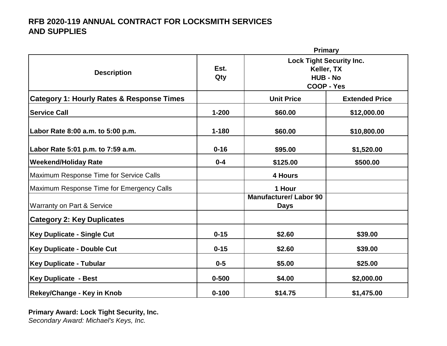|                                                      | <b>Primary</b> |                                                                                                                                     |             |
|------------------------------------------------------|----------------|-------------------------------------------------------------------------------------------------------------------------------------|-------------|
| <b>Description</b>                                   | Est.<br>Qty    | <b>Lock Tight Security Inc.</b><br>Keller, TX<br><b>HUB - No</b><br><b>COOP - Yes</b><br><b>Unit Price</b><br><b>Extended Price</b> |             |
| <b>Category 1: Hourly Rates &amp; Response Times</b> |                |                                                                                                                                     |             |
| <b>Service Call</b>                                  | $1 - 200$      | \$60.00                                                                                                                             | \$12,000.00 |
| Labor Rate 8:00 a.m. to 5:00 p.m.                    | $1 - 180$      | \$60.00                                                                                                                             | \$10,800.00 |
| Labor Rate 5:01 p.m. to 7:59 a.m.                    | $0 - 16$       | \$95.00                                                                                                                             | \$1,520.00  |
| <b>Weekend/Holiday Rate</b>                          | $0 - 4$        | \$125.00                                                                                                                            | \$500.00    |
| Maximum Response Time for Service Calls              |                | 4 Hours                                                                                                                             |             |
| Maximum Response Time for Emergency Calls            |                | 1 Hour                                                                                                                              |             |
| <b>Warranty on Part &amp; Service</b>                |                | <b>Manufacturer/Labor 90</b><br><b>Days</b>                                                                                         |             |
| <b>Category 2: Key Duplicates</b>                    |                |                                                                                                                                     |             |
| <b>Key Duplicate - Single Cut</b>                    | $0 - 15$       | \$2.60                                                                                                                              | \$39.00     |
| <b>Key Duplicate - Double Cut</b>                    | $0 - 15$       | \$2.60                                                                                                                              | \$39.00     |
| <b>Key Duplicate - Tubular</b>                       | $0-5$          | \$5.00                                                                                                                              | \$25.00     |
| <b>Key Duplicate - Best</b>                          | $0 - 500$      | \$4.00                                                                                                                              | \$2,000.00  |
| <b>Rekey/Change - Key in Knob</b>                    | $0 - 100$      | \$14.75                                                                                                                             | \$1,475.00  |

**Primary Award: Lock Tight Security, Inc.** *Secondary Award: Michael's Keys, Inc.*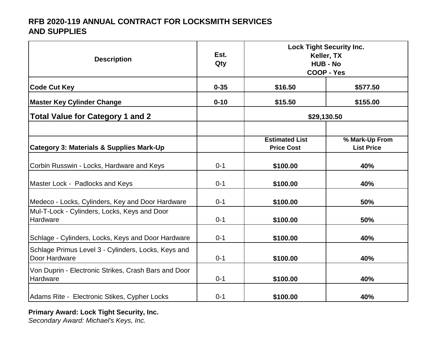| <b>Description</b>                                                   | Est.<br>Qty | <b>Lock Tight Security Inc.</b><br>Keller, TX<br><b>HUB - No</b><br><b>COOP - Yes</b> |                                     |
|----------------------------------------------------------------------|-------------|---------------------------------------------------------------------------------------|-------------------------------------|
| <b>Code Cut Key</b>                                                  | $0 - 35$    | \$16.50                                                                               | \$577.50                            |
| <b>Master Key Cylinder Change</b>                                    | $0 - 10$    | \$15.50                                                                               | \$155.00                            |
| <b>Total Value for Category 1 and 2</b>                              |             | \$29,130.50                                                                           |                                     |
|                                                                      |             |                                                                                       |                                     |
| <b>Category 3: Materials &amp; Supplies Mark-Up</b>                  |             | <b>Estimated List</b><br><b>Price Cost</b>                                            | % Mark-Up From<br><b>List Price</b> |
| Corbin Russwin - Locks, Hardware and Keys                            | $0 - 1$     | \$100.00                                                                              | 40%                                 |
| Master Lock - Padlocks and Keys                                      | $0 - 1$     | \$100.00                                                                              | 40%                                 |
| Medeco - Locks, Cylinders, Key and Door Hardware                     | $0 - 1$     | \$100.00                                                                              | 50%                                 |
| Mul-T-Lock - Cylinders, Locks, Keys and Door<br>Hardware             | $0 - 1$     | \$100.00                                                                              | 50%                                 |
| Schlage - Cylinders, Locks, Keys and Door Hardware                   | $0 - 1$     | \$100.00                                                                              | 40%                                 |
| Schlage Primus Level 3 - Cylinders, Locks, Keys and<br>Door Hardware | $0 - 1$     | \$100.00                                                                              | 40%                                 |
| Von Duprin - Electronic Strikes, Crash Bars and Door<br>Hardware     | $0 - 1$     | \$100.00                                                                              | 40%                                 |
| Adams Rite - Electronic Stikes, Cypher Locks                         | $0 - 1$     | \$100.00                                                                              | 40%                                 |

#### **Primary Award: Lock Tight Security, Inc.**

*Secondary Award: Michael's Keys, Inc.*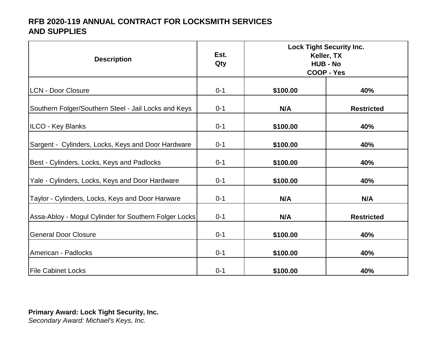| <b>Description</b>                                    | Est.<br>Qty | <b>Lock Tight Security Inc.</b><br>Keller, TX<br><b>HUB - No</b><br><b>COOP - Yes</b> |                   |
|-------------------------------------------------------|-------------|---------------------------------------------------------------------------------------|-------------------|
| <b>LCN - Door Closure</b>                             | $0 - 1$     | \$100.00                                                                              | 40%               |
| Southern Folger/Southern Steel - Jail Locks and Keys  | $0 - 1$     | N/A                                                                                   | <b>Restricted</b> |
| ILCO - Key Blanks                                     | $0 - 1$     | \$100.00                                                                              | 40%               |
| Sargent - Cylinders, Locks, Keys and Door Hardware    | $0 - 1$     | \$100.00                                                                              | 40%               |
| Best - Cylinders, Locks, Keys and Padlocks            | $0 - 1$     | \$100.00                                                                              | 40%               |
| Yale - Cylinders, Locks, Keys and Door Hardware       | $0 - 1$     | \$100.00                                                                              | 40%               |
| Taylor - Cylinders, Locks, Keys and Door Harware      | $0 - 1$     | N/A                                                                                   | N/A               |
| Assa-Abloy - Mogul Cylinder for Southern Folger Locks | $0 - 1$     | N/A                                                                                   | <b>Restricted</b> |
| <b>General Door Closure</b>                           | $0 - 1$     | \$100.00                                                                              | 40%               |
| American - Padlocks                                   | $0 - 1$     | \$100.00                                                                              | 40%               |
| <b>File Cabinet Locks</b>                             | $0 - 1$     | \$100.00                                                                              | 40%               |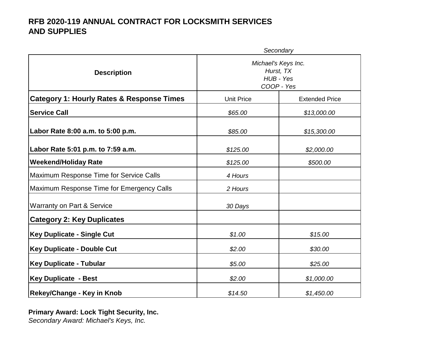|                                                      |                                                             | Secondary             |
|------------------------------------------------------|-------------------------------------------------------------|-----------------------|
| <b>Description</b>                                   | Michael's Keys Inc.<br>Hurst, TX<br>HUB - Yes<br>COOP - Yes |                       |
| <b>Category 1: Hourly Rates &amp; Response Times</b> | <b>Unit Price</b>                                           | <b>Extended Price</b> |
| <b>Service Call</b>                                  | \$65.00                                                     | \$13,000.00           |
| Labor Rate 8:00 a.m. to 5:00 p.m.                    | \$85.00                                                     | \$15,300.00           |
| Labor Rate 5:01 p.m. to 7:59 a.m.                    | \$125.00                                                    | \$2,000.00            |
| <b>Weekend/Holiday Rate</b>                          | \$125.00                                                    | \$500.00              |
| Maximum Response Time for Service Calls              | 4 Hours                                                     |                       |
| Maximum Response Time for Emergency Calls            | 2 Hours                                                     |                       |
| Warranty on Part & Service                           | 30 Days                                                     |                       |
| <b>Category 2: Key Duplicates</b>                    |                                                             |                       |
| <b>Key Duplicate - Single Cut</b>                    | \$1.00                                                      | \$15.00               |
| <b>Key Duplicate - Double Cut</b>                    | \$2.00                                                      | \$30.00               |
| <b>Key Duplicate - Tubular</b>                       | \$5.00                                                      | \$25.00               |
| <b>Key Duplicate - Best</b>                          | \$2.00                                                      | \$1,000.00            |
| <b>Rekey/Change - Key in Knob</b>                    | \$14.50                                                     | \$1,450.00            |

**Primary Award: Lock Tight Security, Inc.** *Secondary Award: Michael's Keys, Inc.*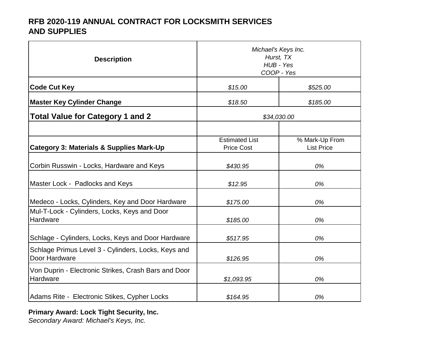| <b>Description</b>                                                   | Michael's Keys Inc.<br>Hurst, TX<br>HUB - Yes<br>COOP - Yes |                                     |
|----------------------------------------------------------------------|-------------------------------------------------------------|-------------------------------------|
| <b>Code Cut Key</b>                                                  | \$15.00                                                     | \$525.00                            |
| <b>Master Key Cylinder Change</b>                                    | \$18.50                                                     | \$185.00                            |
| <b>Total Value for Category 1 and 2</b>                              | \$34,030.00                                                 |                                     |
|                                                                      |                                                             |                                     |
| <b>Category 3: Materials &amp; Supplies Mark-Up</b>                  | <b>Estimated List</b><br><b>Price Cost</b>                  | % Mark-Up From<br><b>List Price</b> |
| Corbin Russwin - Locks, Hardware and Keys                            | \$430.95                                                    | 0%                                  |
| Master Lock - Padlocks and Keys                                      | \$12.95                                                     | 0%                                  |
| Medeco - Locks, Cylinders, Key and Door Hardware                     | \$175.00                                                    | 0%                                  |
| Mul-T-Lock - Cylinders, Locks, Keys and Door<br>Hardware             | \$185.00                                                    | 0%                                  |
| Schlage - Cylinders, Locks, Keys and Door Hardware                   | \$517.95                                                    | 0%                                  |
| Schlage Primus Level 3 - Cylinders, Locks, Keys and<br>Door Hardware | \$126.95                                                    | 0%                                  |
| Von Duprin - Electronic Strikes, Crash Bars and Door<br>Hardware     | \$1,093.95                                                  | 0%                                  |
| Adams Rite - Electronic Stikes, Cypher Locks                         | \$164.95                                                    | 0%                                  |

#### **Primary Award: Lock Tight Security, Inc.**

*Secondary Award: Michael's Keys, Inc.*